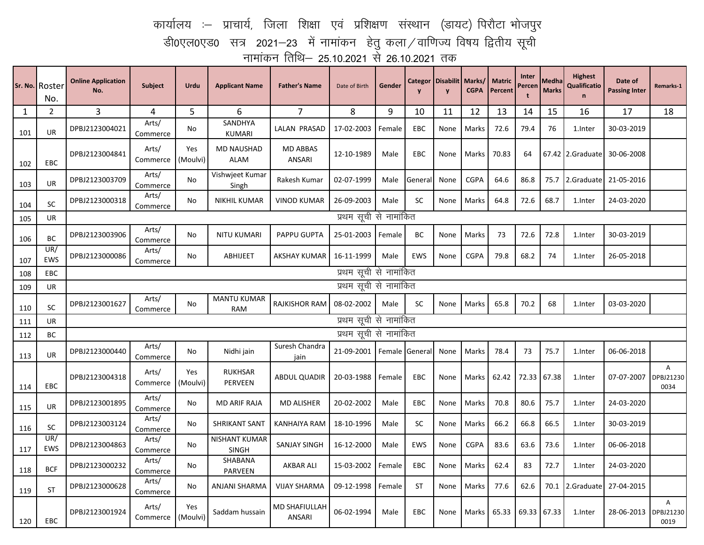## कार्यालय :– प्राचार्य, जिला शिक्षा एवं प्रशिक्षण संस्थान (डायट) पिरौटा भोजपुर डी0एल0एड0 सत्र 2021—23 में नामांकन हेतु कला $\,$ वाणिज्य विषय द्वितीय सूची नामांकन तिथि— 25.10.2021 से 26.10.2021 तक

|     | Sr. No. Roster<br>No. | <b>Online Application</b><br>No. | Subject           | Urdu            | <b>Applicant Name</b>            | <b>Father's Name</b>                  | Date of Birth          | Gender         | Categor<br>$\mathbf{y}$ | Disabilit   Marks/<br>$\mathbf{y}$ | <b>CGPA</b> | <b>Matric</b><br>Percent | Inter<br>Percen<br>$\mathbf t$ | Medha<br><b>Marks</b> | <b>Highest</b><br><b>Qualificatio</b><br>$\mathbf n$ | Date of<br><b>Passing Inter</b> | Remarks-1                           |
|-----|-----------------------|----------------------------------|-------------------|-----------------|----------------------------------|---------------------------------------|------------------------|----------------|-------------------------|------------------------------------|-------------|--------------------------|--------------------------------|-----------------------|------------------------------------------------------|---------------------------------|-------------------------------------|
| 1   | $\overline{2}$        | 3                                | 4                 | 5               | 6                                | $\overline{7}$                        | 8                      | 9              | 10                      | 11                                 | 12          | 13                       | 14                             | 15                    | 16                                                   | 17                              | 18                                  |
| 101 | <b>UR</b>             | DPBJ2123004021                   | Arts/<br>Commerce | No              | SANDHYA<br><b>KUMARI</b>         | LALAN PRASAD                          | 17-02-2003             | Female         | <b>EBC</b>              | None                               | Marks       | 72.6                     | 79.4                           | 76                    | 1.Inter                                              | 30-03-2019                      |                                     |
| 102 | <b>EBC</b>            | DPBJ2123004841                   | Arts/<br>Commerce | Yes<br>(Moulvi) | <b>MD NAUSHAD</b><br><b>ALAM</b> | <b>MD ABBAS</b><br>ANSARI             | 12-10-1989             | Male           | EBC                     | None                               | Marks       | 70.83                    | 64                             |                       | 67.42 2.Graduate                                     | 30-06-2008                      |                                     |
| 103 | <b>UR</b>             | DPBJ2123003709                   | Arts/<br>Commerce | No              | Vishwjeet Kumar<br>Singh         | Rakesh Kumar                          | 02-07-1999             | Male           | Genera                  | None                               | <b>CGPA</b> | 64.6                     | 86.8                           | 75.7                  | 2.Graduate                                           | 21-05-2016                      |                                     |
| 104 | <b>SC</b>             | DPBJ2123000318                   | Arts/<br>Commerce | No              | NIKHIL KUMAR                     | <b>VINOD KUMAR</b>                    | 26-09-2003             | Male           | <b>SC</b>               | None                               | Marks       | 64.8                     | 72.6                           | 68.7                  | 1.Inter                                              | 24-03-2020                      |                                     |
| 105 | UR                    | प्रथम सूची से नामांकित           |                   |                 |                                  |                                       |                        |                |                         |                                    |             |                          |                                |                       |                                                      |                                 |                                     |
| 106 | BC                    | DPBJ2123003906                   | Arts/<br>Commerce | No              | NITU KUMARI                      | PAPPU GUPTA                           | 25-01-2003             | Female         | ВC                      | None                               | Marks       | 73                       | 72.6                           | 72.8                  | 1.Inter                                              | 30-03-2019                      |                                     |
| 107 | UR/<br>EWS            | DPBJ2123000086                   | Arts/<br>Commerce | No              | <b>ABHIJEET</b>                  | AKSHAY KUMAR                          | 16-11-1999             | Male           | <b>EWS</b>              | None                               | <b>CGPA</b> | 79.8                     | 68.2                           | 74                    | 1.Inter                                              | 26-05-2018                      |                                     |
| 108 | <b>EBC</b>            | प्रथम सूची से नामांकित           |                   |                 |                                  |                                       |                        |                |                         |                                    |             |                          |                                |                       |                                                      |                                 |                                     |
| 109 | UR                    | प्रथम सूची से नामांकित           |                   |                 |                                  |                                       |                        |                |                         |                                    |             |                          |                                |                       |                                                      |                                 |                                     |
| 110 | <b>SC</b>             | DPBJ2123001627                   | Arts/<br>Commerce | No              | <b>MANTU KUMAR</b><br><b>RAM</b> | RAJKISHOR RAM                         | 08-02-2002             | Male           | SC                      | None                               | Marks       | 65.8                     | 70.2                           | 68                    | 1.Inter                                              | 03-03-2020                      |                                     |
| 111 | UR                    | प्रथम सूची से नामांकित           |                   |                 |                                  |                                       |                        |                |                         |                                    |             |                          |                                |                       |                                                      |                                 |                                     |
| 112 | <b>BC</b>             |                                  |                   |                 |                                  |                                       | प्रथम सूची से नामांकित |                |                         |                                    |             |                          |                                |                       |                                                      |                                 |                                     |
| 113 | <b>UR</b>             | DPBJ2123000440                   | Arts/<br>Commerce | No              | Nidhi jain                       | Suresh Chandra<br>jain                | 21-09-2001             | Female General |                         | None                               | Marks       | 78.4                     | 73                             | 75.7                  | 1.Inter                                              | 06-06-2018                      |                                     |
| 114 | <b>EBC</b>            | DPBJ2123004318                   | Arts/<br>Commerce | Yes<br>(Moulvi) | <b>RUKHSAR</b><br>PERVEEN        | <b>ABDUL QUADIR</b>                   | 20-03-1988             | Female         | EBC                     | None                               | Marks       | 62.42                    | 72.33                          | 67.38                 | 1.Inter                                              | 07-07-2007                      | A<br>DPBJ21230<br>0034              |
| 115 | UR                    | DPBJ2123001895                   | Arts/<br>Commerce | No              | <b>MD ARIF RAJA</b>              | <b>MD ALISHER</b>                     | 20-02-2002             | Male           | <b>EBC</b>              | None                               | Marks       | 70.8                     | 80.6                           | 75.7                  | 1.Inter                                              | 24-03-2020                      |                                     |
| 116 | SC                    | DPBJ2123003124                   | Arts/<br>Commerce | No              | <b>SHRIKANT SANT</b>             | <b>KANHAIYA RAM</b>                   | 18-10-1996             | Male           | <b>SC</b>               | None                               | Marks       | 66.2                     | 66.8                           | 66.5                  | 1.Inter                                              | 30-03-2019                      |                                     |
| 117 | UR/<br>EWS            | DPBJ2123004863                   | Arts/<br>Commerce | No              | NISHANT KUMAR<br><b>SINGH</b>    | SANJAY SINGH                          | 16-12-2000             | Male           | <b>EWS</b>              | None                               | <b>CGPA</b> | 83.6                     | 63.6                           | 73.6                  | 1.Inter                                              | 06-06-2018                      |                                     |
| 118 | <b>BCF</b>            | DPBJ2123000232                   | Arts/<br>Commerce | No              | SHABANA<br>PARVEEN               | <b>AKBAR ALI</b>                      | 15-03-2002             | Female         | EBC                     | None                               | Marks       | 62.4                     | 83                             | 72.7                  | 1.Inter                                              | 24-03-2020                      |                                     |
| 119 | <b>ST</b>             | DPBJ2123000628                   | Arts/<br>Commerce | No              | ANJANI SHARMA                    | <b>VIJAY SHARMA</b>                   | 09-12-1998             | Female         | <b>ST</b>               | None                               | Marks       | 77.6                     | 62.6                           | 70.1                  | 2.Graduate                                           | 27-04-2015                      |                                     |
| 120 | EBC                   | DPBJ2123001924                   | Arts/<br>Commerce | Yes<br>(Moulvi) | Saddam hussain                   | <b>MD SHAFIULLAH</b><br><b>ANSARI</b> | 06-02-1994             | Male           | EBC                     | None                               | Marks       | 65.33                    | 69.33                          | 67.33                 | 1.Inter                                              | 28-06-2013                      | $\overline{A}$<br>DPBJ21230<br>0019 |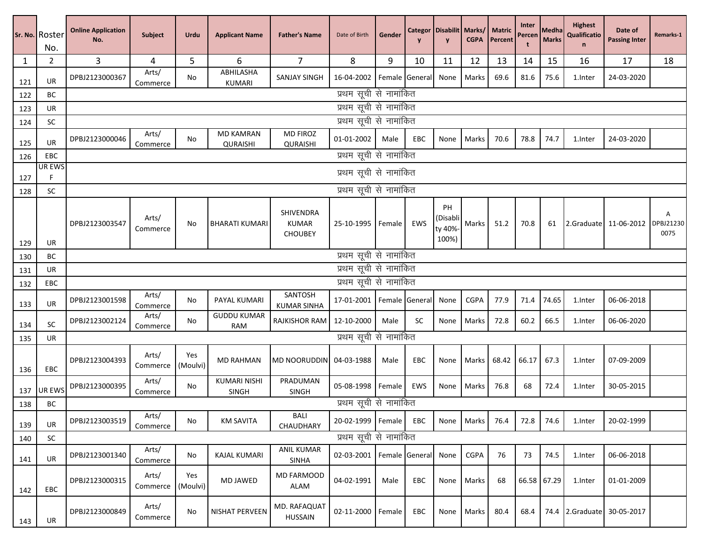|            | Sr. No. Roster<br>No. | <b>Online Application</b><br>No.                 | <b>Subject</b>    | Urdu            | <b>Applicant Name</b>               | <b>Father's Name</b>                        | Date of Birth             | Gender              |           | Categor   Disabilit   Marks/<br>$\mathbf{v}$ | <b>CGPA</b> | <b>Matric</b><br>Percent | Inter<br>Percen | Medha<br><b>Marks</b> | <b>Highest</b><br>Qualificatio<br>$\mathsf{n}$ | Date of<br><b>Passing Inter</b> | Remarks-1 |
|------------|-----------------------|--------------------------------------------------|-------------------|-----------------|-------------------------------------|---------------------------------------------|---------------------------|---------------------|-----------|----------------------------------------------|-------------|--------------------------|-----------------|-----------------------|------------------------------------------------|---------------------------------|-----------|
| 1          | 2                     | 3                                                | 4                 | 5               | 6                                   | $\overline{7}$                              | 8                         | 9                   | 10        | 11                                           | 12          | 13                       | 14              | 15                    | 16                                             | 17                              | 18        |
| 121        | UR                    | DPBJ2123000367                                   | Arts/<br>Commerce | No              | ABHILASHA<br><b>KUMARI</b>          | <b>SANJAY SINGH</b>                         | 16-04-2002                | Female General      |           | None                                         | Marks       | 69.6                     | 81.6            | 75.6                  | 1.Inter                                        | 24-03-2020                      |           |
| 122        | BC                    |                                                  |                   |                 |                                     |                                             | प्रथम सूची से नामांकित    |                     |           |                                              |             |                          |                 |                       |                                                |                                 |           |
| 123        | UR                    |                                                  |                   |                 |                                     |                                             | प्रथम सूची से नामांकित    |                     |           |                                              |             |                          |                 |                       |                                                |                                 |           |
| 124        | <b>SC</b>             |                                                  |                   |                 |                                     |                                             | प्रथम सूची से नामांकित    |                     |           |                                              |             |                          |                 |                       |                                                |                                 |           |
| 125        | UR                    | DPBJ2123000046                                   | Arts/<br>Commerce | No              | <b>MD KAMRAN</b><br><b>QURAISHI</b> | <b>MD FIROZ</b><br>QURAISHI                 | 01-01-2002                | Male                | EBC       | None                                         | Marks       | 70.6                     | 78.8            | 74.7                  | 1.Inter                                        | 24-03-2020                      |           |
| 126        | EBC                   | प्रथम सूची से नामांकित                           |                   |                 |                                     |                                             |                           |                     |           |                                              |             |                          |                 |                       |                                                |                                 |           |
| 127        | <b>UR EWS</b><br>F    |                                                  |                   |                 |                                     |                                             | प्रथम सूची से नामांकित    |                     |           |                                              |             |                          |                 |                       |                                                |                                 |           |
| 128        | SC                    |                                                  |                   |                 |                                     |                                             | प्रथम सूची से नामांकित    |                     |           |                                              |             |                          |                 |                       |                                                |                                 |           |
|            |                       | DPBJ2123003547                                   | Arts/<br>Commerce | No              | <b>BHARATI KUMARI</b>               | SHIVENDRA<br><b>KUMAR</b><br><b>CHOUBEY</b> | 25-10-1995 Female         |                     | EWS       | PH<br>(Disabli<br>ty 40%<br>100%)            | Marks       | 51.2                     | 70.8            | 61                    |                                                | 2.Graduate 11-06-2012 DPBJ21230 | Α<br>0075 |
| 129        | UR                    |                                                  |                   |                 |                                     |                                             |                           |                     |           |                                              |             |                          |                 |                       |                                                |                                 |           |
| 130<br>131 | ВC<br>UR              | प्रथम सूची से नामांकित<br>प्रथम सूची से नामांकित |                   |                 |                                     |                                             |                           |                     |           |                                              |             |                          |                 |                       |                                                |                                 |           |
| 132        | EBC                   | प्रथम सूची से नामांकित                           |                   |                 |                                     |                                             |                           |                     |           |                                              |             |                          |                 |                       |                                                |                                 |           |
| 133        | UR                    | DPBJ2123001598                                   | Arts/<br>Commerce | No              | PAYAL KUMARI                        | SANTOSH<br><b>KUMAR SINHA</b>               | 17-01-2001                | Female General      |           | None                                         | <b>CGPA</b> | 77.9                     | 71.4            | 74.65                 | 1.Inter                                        | 06-06-2018                      |           |
| 134        | SC                    | DPBJ2123002124                                   | Arts/<br>Commerce | No              | <b>GUDDU KUMAR</b><br><b>RAM</b>    | <b>RAJKISHOR RAM</b>                        | 12-10-2000                | Male                | <b>SC</b> | None                                         | Marks       | 72.8                     | 60.2            | 66.5                  | 1.Inter                                        | 06-06-2020                      |           |
| 135        | UR                    |                                                  |                   |                 |                                     |                                             | प्रथम सूची से नामांकित    |                     |           |                                              |             |                          |                 |                       |                                                |                                 |           |
| 136        | EBC                   | DPBJ2123004393                                   | Arts/<br>Commerce | Yes<br>(Moulvi) | <b>MD RAHMAN</b>                    | MD NOORUDDIN 04-03-1988                     |                           | Male                | EBC       | None                                         | Marks       | 68.42                    | 66.17           | 67.3                  | 1.Inter                                        | 07-09-2009                      |           |
| 137        | UR EWS                | DPBJ2123000395                                   | Arts/<br>Commerce | No              | <b>KUMARI NISHI</b><br><b>SINGH</b> | PRADUMAN<br><b>SINGH</b>                    | 05-08-1998                | Female              | EWS       | None                                         | Marks       | 76.8                     | 68              | 72.4                  | 1.Inter                                        | 30-05-2015                      |           |
| 138        | BC                    |                                                  |                   |                 |                                     |                                             | प्रथम सूची से नामांकित    |                     |           |                                              |             |                          |                 |                       |                                                |                                 |           |
| 139        | UR                    | DPBJ2123003519                                   | Arts/<br>Commerce | No              | <b>KM SAVITA</b>                    | BALI<br>CHAUDHARY                           | 20-02-1999   Female   EBC |                     |           |                                              | None Marks  | 76.4                     | 72.8            | 74.6                  | 1.Inter                                        | 20-02-1999                      |           |
| 140        | SC                    |                                                  |                   |                 |                                     |                                             | प्रथम सूची से नामांकित    |                     |           |                                              |             |                          |                 |                       |                                                |                                 |           |
| 141        | UR                    | DPBJ2123001340                                   | Arts/<br>Commerce | No              | KAJAL KUMARI                        | <b>ANIL KUMAR</b><br>SINHA                  | 02-03-2001                | Female General None |           |                                              | CGPA        | 76                       | 73              | 74.5                  | 1.Inter                                        | 06-06-2018                      |           |
| 142        | EBC                   | DPBJ2123000315                                   | Arts/<br>Commerce | Yes<br>(Moulvi) | MD JAWED                            | MD FARMOOD<br>ALAM                          | 04-02-1991                | Male                | EBC       | None                                         | Marks       | 68                       |                 | 66.58 67.29           | 1.Inter                                        | 01-01-2009                      |           |
| 143        | UR                    | DPBJ2123000849                                   | Arts/<br>Commerce | No              | NISHAT PERVEEN                      | MD. RAFAQUAT<br><b>HUSSAIN</b>              | 02-11-2000                | Female              | EBC       | None                                         | Marks       | 80.4                     | 68.4            |                       |                                                | 74.4 2.Graduate 30-05-2017      |           |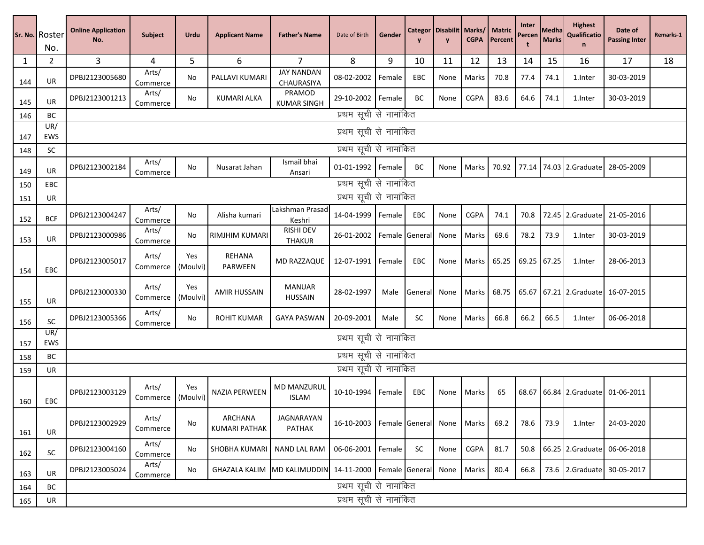|     | Sr. No. Roster<br>No. | <b>Online Application</b><br>No. | <b>Subject</b>    | Urdu            | <b>Applicant Name</b>           | <b>Father's Name</b>                 | Date of Birth             | Gender |                     | <b>Categor   Disabilit   Marks/</b><br>$\mathbf{v}$ | <b>CGPA</b> | <b>Matric</b><br>Percent | Inter<br>Percen | <b>Medha</b><br><b>Marks</b> | <b>Highest</b><br><b>Qualificatio</b><br>n | Date of<br><b>Passing Inter</b> | Remarks-1 |
|-----|-----------------------|----------------------------------|-------------------|-----------------|---------------------------------|--------------------------------------|---------------------------|--------|---------------------|-----------------------------------------------------|-------------|--------------------------|-----------------|------------------------------|--------------------------------------------|---------------------------------|-----------|
| 1   | 2                     | 3                                | 4                 | 5               | 6                               | 7 <sup>1</sup>                       | 8                         | 9      | 10                  | 11                                                  | 12          | 13                       | 14              | 15                           | 16                                         | 17                              | 18        |
| 144 | UR                    | DPBJ2123005680                   | Arts/<br>Commerce | No              | PALLAVI KUMARI                  | <b>JAY NANDAN</b><br>CHAURASIYA      | 08-02-2002                | Female | EBC                 | None                                                | Marks       | 70.8                     | 77.4            | 74.1                         | 1.Inter                                    | 30-03-2019                      |           |
| 145 | UR                    | DPBJ2123001213                   | Arts/<br>Commerce | No              | <b>KUMARI ALKA</b>              | PRAMOD<br><b>KUMAR SINGH</b>         | 29-10-2002                | Female | BС                  | None                                                | <b>CGPA</b> | 83.6                     | 64.6            | 74.1                         | 1.Inter                                    | 30-03-2019                      |           |
| 146 | BC                    |                                  |                   |                 |                                 |                                      | प्रथम सूची से नामांकित    |        |                     |                                                     |             |                          |                 |                              |                                            |                                 |           |
| 147 | UR/<br>EWS            |                                  |                   |                 |                                 |                                      | प्रथम सूची से नामांकित    |        |                     |                                                     |             |                          |                 |                              |                                            |                                 |           |
| 148 | <b>SC</b>             |                                  |                   |                 |                                 |                                      | प्रथम सूची से नामांकित    |        |                     |                                                     |             |                          |                 |                              |                                            |                                 |           |
| 149 | UR                    | DPBJ2123002184                   | Arts/<br>Commerce | No              | Nusarat Jahan                   | Ismail bhai<br>Ansari                | 01-01-1992 Female         |        | BС                  | None                                                | Marks       | 70.92                    | 77.14           |                              |                                            | 74.03 2.Graduate 28-05-2009     |           |
| 150 | <b>EBC</b>            |                                  |                   |                 |                                 |                                      | प्रथम सूची से नामांकित    |        |                     |                                                     |             |                          |                 |                              |                                            |                                 |           |
| 151 | UR                    | प्रथम सूची से नामांकित           |                   |                 |                                 |                                      |                           |        |                     |                                                     |             |                          |                 |                              |                                            |                                 |           |
| 152 | <b>BCF</b>            | DPBJ2123004247                   | Arts/<br>Commerce | No              | Alisha kumari                   | Lakshman Prasad<br>Keshri            | 14-04-1999                | Female | EBC                 | None                                                | CGPA        | 74.1                     | 70.8            |                              | 72.45 2.Graduate                           | 21-05-2016                      |           |
| 153 | UR                    | DPBJ2123000986                   | Arts/<br>Commerce | No              | <b>RIMJHIM KUMARI</b>           | <b>RISHI DEV</b><br><b>THAKUR</b>    | 26-01-2002                |        | Female General      | None                                                | Marks       | 69.6                     | 78.2            | 73.9                         | 1.Inter                                    | 30-03-2019                      |           |
| 154 | EBC                   | DPBJ2123005017                   | Arts/<br>Commerce | Yes<br>(Moulvi) | <b>REHANA</b><br>PARWEEN        | MD RAZZAQUE                          | 12-07-1991                | Female | EBC                 | None                                                | Marks       | 65.25                    | 69.25           | 67.25                        | 1.Inter                                    | 28-06-2013                      |           |
| 155 | <b>UR</b>             | DPBJ2123000330                   | Arts/<br>Commerce | Yes<br>(Moulvi) | <b>AMIR HUSSAIN</b>             | <b>MANUAR</b><br><b>HUSSAIN</b>      | 28-02-1997                | Male   | General             | None                                                | Marks       | 68.75                    | 65.67           |                              |                                            | 67.21 2.Graduate 16-07-2015     |           |
| 156 | SC                    | DPBJ2123005366                   | Arts/<br>Commerce | No              | <b>ROHIT KUMAR</b>              | <b>GAYA PASWAN</b>                   | 20-09-2001                | Male   | SC.                 | None                                                | Marks       | 66.8                     | 66.2            | 66.5                         | 1.Inter                                    | 06-06-2018                      |           |
| 157 | UR/<br>EWS            |                                  |                   |                 |                                 |                                      | प्रथम सूची से नामांकित    |        |                     |                                                     |             |                          |                 |                              |                                            |                                 |           |
| 158 | ВC                    |                                  |                   |                 |                                 |                                      | प्रथम सूची से नामांकित    |        |                     |                                                     |             |                          |                 |                              |                                            |                                 |           |
| 159 | UR                    |                                  |                   |                 |                                 |                                      | प्रथम सूची से नामांकित    |        |                     |                                                     |             |                          |                 |                              |                                            |                                 |           |
| 160 | EBC                   | DPBJ2123003129                   | Arts/<br>Commerce | Yes<br>(Moulvi) | <b>NAZIA PERWEEN</b>            | <b>MD MANZURUL</b><br><b>ISLAM</b>   | 10-10-1994                | Female | EBC                 | None                                                | Marks       | 65                       | 68.67           |                              |                                            | 66.84 2.Graduate 01-06-2011     |           |
| 161 | UR                    | DPBJ2123002929                   | Arts/<br>Commerce | No              | ARCHANA<br><b>KUMARI PATHAK</b> | JAGNARAYAN<br>PATHAK                 | 16-10-2003                |        | Female General None |                                                     | Marks       | 69.2                     | 78.6            | 73.9                         | 1.Inter                                    | 24-03-2020                      |           |
| 162 | SC                    | DPBJ2123004160                   | Arts/<br>Commerce | No              | SHOBHA KUMARI                   | <b>NAND LAL RAM</b>                  | 06-06-2001                | Female | SC                  | None                                                | <b>CGPA</b> | 81.7                     | 50.8            |                              |                                            | 66.25 2.Graduate 06-06-2018     |           |
| 163 | UR                    | DPBJ2123005024                   | Arts/<br>Commerce | No              |                                 | <b>GHAZALA KALIM IMD KALIMUDDINI</b> | 14-11-2000 Female General |        |                     | None                                                | Marks       | 80.4                     | 66.8            |                              |                                            | 73.6 2.Graduate 30-05-2017      |           |
| 164 | BC                    |                                  |                   |                 |                                 |                                      | प्रथम सूची से नामांकित    |        |                     |                                                     |             |                          |                 |                              |                                            |                                 |           |
| 165 | UR                    |                                  |                   |                 |                                 |                                      | प्रथम सूची से नामांकित    |        |                     |                                                     |             |                          |                 |                              |                                            |                                 |           |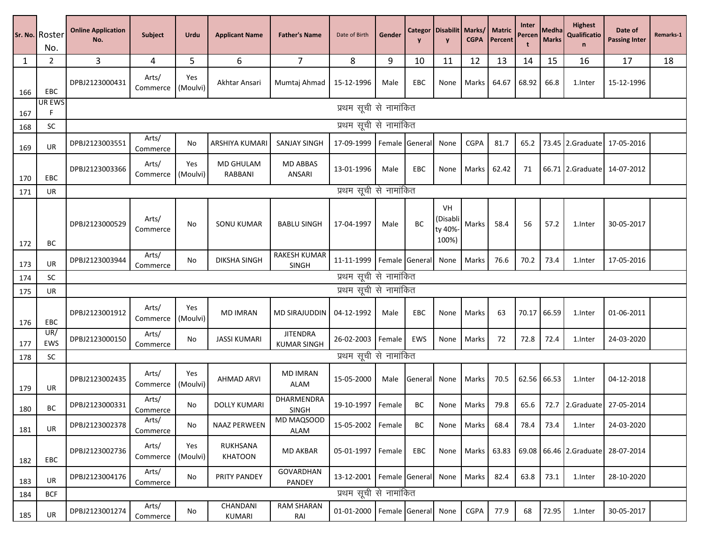|     | Sr. No. Roster<br>No. | <b>Online Application</b><br>No. | <b>Subject</b>    | Urdu            | <b>Applicant Name</b> | <b>Father's Name</b>                  | Date of Birth          | Gender |                     | <b>Categor Disabilit Marks/</b><br>$\mathbf{v}$ | <b>CGPA</b> | <b>Matric</b><br>Percent | Inter<br>Percen<br>t | Medha<br><b>Marks</b> | <b>Highest</b><br>Qualificatio<br>$\mathbf n$ | Date of<br><b>Passing Inter</b> | Remarks-1 |
|-----|-----------------------|----------------------------------|-------------------|-----------------|-----------------------|---------------------------------------|------------------------|--------|---------------------|-------------------------------------------------|-------------|--------------------------|----------------------|-----------------------|-----------------------------------------------|---------------------------------|-----------|
| 1   | 2                     | 3                                | 4                 | 5               | 6                     | $\overline{7}$                        | 8                      | 9      | 10                  | 11                                              | 12          | 13                       | 14                   | 15                    | 16                                            | 17                              | 18        |
| 166 | EBC                   | DPBJ2123000431                   | Arts/<br>Commerce | Yes<br>(Moulvi) | Akhtar Ansari         | Mumtaj Ahmad                          | 15-12-1996             | Male   | EBC                 | None                                            | Marks       | 64.67                    | 68.92                | 66.8                  | 1.Inter                                       | 15-12-1996                      |           |
| 167 | UR EWS<br>F           |                                  |                   |                 |                       |                                       | प्रथम सूची से नामांकित |        |                     |                                                 |             |                          |                      |                       |                                               |                                 |           |
| 168 | <b>SC</b>             |                                  |                   |                 |                       |                                       | प्रथम सूची से नामांकित |        |                     |                                                 |             |                          |                      |                       |                                               |                                 |           |
| 169 | UR                    | DPBJ2123003551                   | Arts/<br>Commerce | No              | ARSHIYA KUMAR         | SANJAY SINGH                          | 17-09-1999             |        | Female General      | None                                            | <b>CGPA</b> | 81.7                     | 65.2                 |                       |                                               | 73.45 2.Graduate 17-05-2016     |           |
| 170 | EBC                   | DPBJ2123003366                   | Arts/<br>Commerce | Yes<br>(Moulvi) | MD GHULAM<br>RABBANI  | <b>MD ABBAS</b><br>ANSARI             | 13-01-1996             | Male   | EBC                 | None                                            | Marks       | 62.42                    | 71                   |                       |                                               | 66.71 2.Graduate 14-07-2012     |           |
| 171 | UR                    |                                  |                   |                 |                       |                                       | प्रथम सूची से नामांकित |        |                     |                                                 |             |                          |                      |                       |                                               |                                 |           |
| 172 | BС                    | DPBJ2123000529                   | Arts/<br>Commerce | No              | <b>SONU KUMAR</b>     | <b>BABLU SINGH</b>                    | 17-04-1997             | Male   | BC                  | VH<br>(Disabli<br>ty 40%<br>100%)               | Marks       | 58.4                     | 56                   | 57.2                  | 1.Inter                                       | 30-05-2017                      |           |
| 173 | UR                    | DPBJ2123003944                   | Arts/<br>Commerce | No              | <b>DIKSHA SINGH</b>   | RAKESH KUMAR<br><b>SINGH</b>          | 11-11-1999             |        | Female General      | None                                            | Marks       | 76.6                     | 70.2                 | 73.4                  | 1.Inter                                       | 17-05-2016                      |           |
| 174 | <b>SC</b>             | प्रथम सूची से नामांकित           |                   |                 |                       |                                       |                        |        |                     |                                                 |             |                          |                      |                       |                                               |                                 |           |
| 175 | UR                    | प्रथम सूची से नामांकित           |                   |                 |                       |                                       |                        |        |                     |                                                 |             |                          |                      |                       |                                               |                                 |           |
| 176 | EBC                   | DPBJ2123001912                   | Arts/<br>Commerce | Yes<br>(Moulvi) | <b>MD IMRAN</b>       | <b>MD SIRAJUDDIN</b>                  | 04-12-1992             | Male   | EBC                 | None                                            | Marks       | 63                       | 70.17                | 66.59                 | 1.Inter                                       | 01-06-2011                      |           |
| 177 | UR/<br>EWS            | DPBJ2123000150                   | Arts/<br>Commerce | No              | <b>JASSI KUMARI</b>   | <b>JITENDRA</b><br><b>KUMAR SINGH</b> | 26-02-2003             | Female | EWS                 | None                                            | Marks       | 72                       | 72.8                 | 72.4                  | 1.Inter                                       | 24-03-2020                      |           |
| 178 | <b>SC</b>             |                                  |                   |                 |                       |                                       | प्रथम सूची से नामांकित |        |                     |                                                 |             |                          |                      |                       |                                               |                                 |           |
| 179 | UR                    | DPBJ2123002435                   | Arts/<br>Commerce | Yes<br>(Moulvi) | <b>AHMAD ARVI</b>     | <b>MD IMRAN</b><br><b>ALAM</b>        | 15-05-2000             | Male   | General             | None                                            | Marks       | 70.5                     | 62.56                | 66.53                 | 1.Inter                                       | 04-12-2018                      |           |
| 180 | BC                    | DPBJ2123000331                   | Arts/<br>Commerce | No              | <b>DOLLY KUMARI</b>   | DHARMENDRA<br><b>SINGH</b>            | 19-10-1997             | Female | BС                  | None                                            | Marks       | 79.8                     | 65.6                 |                       |                                               | 72.7 2.Graduate 27-05-2014      |           |
| 181 | UR                    | DPBJ2123002378                   | Arts/<br>Commerce | No              | NAAZ PERWEEN          | MD MAQSOOD<br>ALAM                    | 15-05-2002             | Female | BC                  | None                                            | Marks       | 68.4                     | 78.4                 | 73.4                  | 1.Inter                                       | 24-03-2020                      |           |
| 182 | EBC                   | DPBJ2123002736                   | Arts/<br>Commerce | Yes<br>(Moulvi) | RUKHSANA<br>KHATOON   | <b>MD AKBAR</b>                       | 05-01-1997             | Female | EBC                 | None                                            | Marks       | 63.83                    | 69.08                |                       |                                               | 66.46 2.Graduate 28-07-2014     |           |
| 183 | <b>UR</b>             | DPBJ2123004176                   | Arts/<br>Commerce | No              | PRITY PANDEY          | <b>GOVARDHAN</b><br>PANDEY            | 13-12-2001             |        | Female General      | None                                            | Marks       | 82.4                     | 63.8                 | 73.1                  | 1.Inter                                       | 28-10-2020                      |           |
| 184 | <b>BCF</b>            |                                  |                   |                 |                       |                                       | प्रथम सूची से नामांकित |        |                     |                                                 |             |                          |                      |                       |                                               |                                 |           |
| 185 | UR                    | DPBJ2123001274                   | Arts/<br>Commerce | No              | CHANDANI<br>KUMARI    | <b>RAM SHARAN</b><br>RAI              | 01-01-2000             |        | Female General None |                                                 | CGPA        | 77.9                     | 68                   | 72.95                 | 1.Inter                                       | 30-05-2017                      |           |